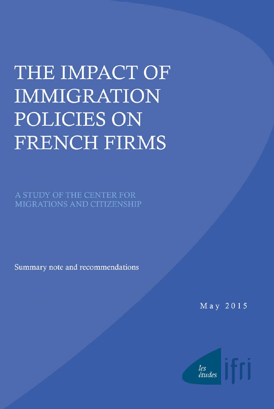# THE IMPACT OF **IMMIGRATION** POLICIES ON FRENCH FIRMS

A STUDY OF THE CENTER FOR MIGRATIONS AND CITIZENSHIP

Summary note and recommendations

May 2015

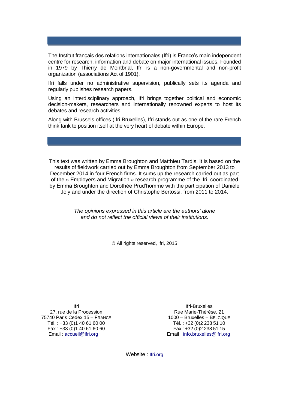The Institut français des relations internationales (Ifri) is France's main independent centre for research, information and debate on major international issues. Founded in 1979 by Thierry de Montbrial, Ifri is a non-governmental and non-profit organization (associations Act of 1901).

Ifri falls under no administrative supervision, publically sets its agenda and regularly publishes research papers.

Using an interdisciplinary approach, Ifri brings together political and economic decision-makers, researchers and internationally renowned experts to host its debates and research activities.

Along with Brussels offices (Ifri Bruxelles), Ifri stands out as one of the rare French think tank to position itself at the very heart of debate within Europe.

This text was written by Emma Broughton and Matthieu Tardis. It is based on the results of fieldwork carried out by Emma Broughton from September 2013 to December 2014 in four French firms. It sums up the research carried out as part of the « Employers and Migration » research programme of the Ifri, coordinated by Emma Broughton and Dorothée Prud'homme with the participation of Danièle Joly and under the direction of Christophe Bertossi, from 2011 to 2014.

> *The opinions expressed in this article are the authors' alone and do not reflect the official views of their institutions.*

> > © All rights reserved, Ifri, 2015

Ifri 27, rue de la Procession 75740 Paris Cedex 15 – FRANCE Tél. : +33 (0)1 40 61 60 00 Fax : +33 (0)1 40 61 60 60 Email : [accueil@ifri.org](mailto:accueil@ifri.org)

Ifri-Bruxelles Rue Marie-Thérèse, 21 1000 – Bruxelles – BELGIQUE Tél. : +32 (0)2 238 51 10 Fax : +32 (0)2 238 51 15 Email : [info.bruxelles@ifri.org](mailto:info.bruxelles@ifri.org)

Website: Ifri.org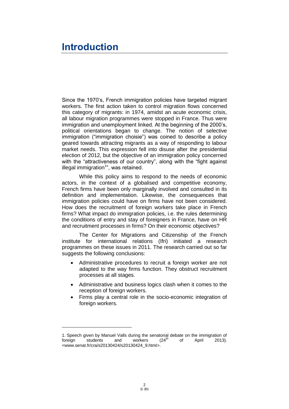# **Introduction**

-

Since the 1970's, French immigration policies have targeted migrant workers. The first action taken to control migration flows concerned this category of migrants: in 1974, amidst an acute economic crisis, all labour migration programmes were stopped in France. Thus were immigration and unemployment linked. At the beginning of the 2000's, political orientations began to change. The notion of selective immigration ("immigration choisie") was coined to describe a policy geared towards attracting migrants as a way of responding to labour market needs. This expression fell into disuse after the presidential election of 2012, but the objective of an immigration policy concerned with the "attractiveness of our country", along with the "fight against illegal immigration<sup>1</sup>", was retained.

While this policy aims to respond to the needs of economic actors, in the context of a globalised and competitive economy, French firms have been only marginally involved and consulted in its definition and implementation. Likewise, the consequences that immigration policies could have on firms have not been considered. How does the recruitment of foreign workers take place in French firms? What impact do immigration policies, i.e. the rules determining the conditions of entry and stay of foreigners in France, have on HR and recruitment processes in firms? On their economic objectives?

The Center for Migrations and Citizenship of the French institute for international relations (Ifri) initiated a research programmes on these issues in 2011. The research carried out so far suggests the following conclusions:

- Administrative procedures to recruit a foreign worker are not adapted to the way firms function. They obstruct recruitment processes at all stages.
- Administrative and business logics clash when it comes to the reception of foreign workers.
- Firms play a central role in the socio-economic integration of foreign workers.

<sup>1.</sup> Speech given by Manuel Valls during the senatorial debate on the immigration of foreign students and workers  $(24<sup>th</sup>$  of April 2013). foreign students and workers (24<sup>th</sup> of April 2013). [<www.senat.fr/cra/s20130424/s20130424\\_9.html>](http://www.senat.fr/cra/s20130424/s20130424_9.html).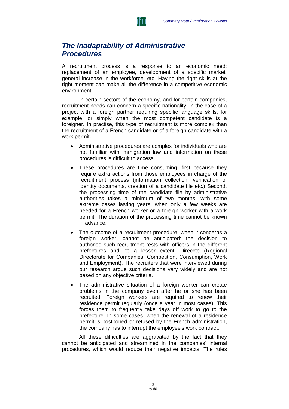

### *The Inadaptability of Administrative Procedures*

A recruitment process is a response to an economic need: replacement of an employee, development of a specific market, general increase in the workforce, etc. Having the right skills at the right moment can make all the difference in a competitive economic environment.

In certain sectors of the economy, and for certain companies, recruitment needs can concern a specific nationality, in the case of a project with a foreign partner requiring specific language skills, for example, or simply when the most competent candidate is a foreigner. In practise, this type of recruitment is more complex than the recruitment of a French candidate or of a foreign candidate with a work permit.

- Administrative procedures are complex for individuals who are not familiar with immigration law and information on these procedures is difficult to access.
- These procedures are time consuming, first because they require extra actions from those employees in charge of the recruitment process (information collection, verification of identity documents, creation of a candidate file etc.) Second, the processing time of the candidate file by administrative authorities takes a minimum of two months, with some extreme cases lasting years, when only a few weeks are needed for a French worker or a foreign worker with a work permit. The duration of the processing time cannot be known in advance.
- The outcome of a recruitment procedure, when it concerns a foreign worker, cannot be anticipated: the decision to authorise such recruitment rests with officers in the different prefectures and, to a lesser extent, Direccte (Regional Directorate for Companies, Competition, Consumption, Work and Employment). The recruiters that were interviewed during our research argue such decisions vary widely and are not based on any objective criteria.
- The administrative situation of a foreign worker can create problems in the company even after he or she has been recruited. Foreign workers are required to renew their residence permit regularly (once a year in most cases). This forces them to frequently take days off work to go to the prefecture. In some cases, when the renewal of a residence permit is postponed or refused by the French administration, the company has to interrupt the employee's work contract.

All these difficulties are aggravated by the fact that they cannot be anticipated and streamlined in the companies' internal procedures, which would reduce their negative impacts. The rules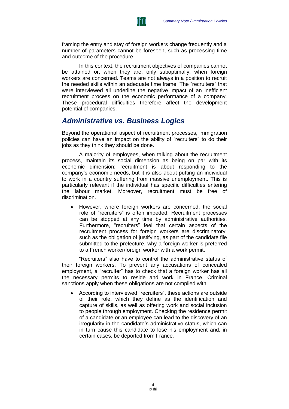

framing the entry and stay of foreign workers change frequently and a number of parameters cannot be foreseen, such as processing time and outcome of the procedure.

In this context, the recruitment objectives of companies cannot be attained or, when they are, only suboptimally, when foreign workers are concerned. Teams are not always in a position to recruit the needed skills within an adequate time frame. The "recruiters" that were interviewed all underline the negative impact of an inefficient recruitment process on the economic performance of a company. These procedural difficulties therefore affect the development potential of companies.

### *Administrative vs. Business Logics*

Beyond the operational aspect of recruitment processes, immigration policies can have an impact on the ability of "recruiters" to do their jobs as they think they should be done.

A majority of employees, when talking about the recruitment process, maintain its social dimension as being on par with its economic dimension: recruitment is about responding to the company's economic needs, but it is also about putting an individual to work in a country suffering from massive unemployment. This is particularly relevant if the individual has specific difficulties entering the labour market. Moreover, recruitment must be free of discrimination.

 However, where foreign workers are concerned, the social role of "recruiters" is often impeded. Recruitment processes can be stopped at any time by administrative authorities. Furthermore, "recruiters" feel that certain aspects of the recruitment process for foreign workers are discriminatory, such as the obligation of justifying, as part of the candidate file submitted to the prefecture, why a foreign worker is preferred to a French worker/foreign worker with a work permit.

"Recruiters" also have to control the administrative status of their foreign workers. To prevent any accusations of concealed employment, a "recruiter" has to check that a foreign worker has all the necessary permits to reside and work in France. Criminal sanctions apply when these obligations are not complied with.

 According to interviewed "recruiters", these actions are outside of their role, which they define as the identification and capture of skills, as well as offering work and social inclusion to people through employment. Checking the residence permit of a candidate or an employee can lead to the discovery of an irregularity in the candidate's administrative status, which can in turn cause this candidate to lose his employment and, in certain cases, be deported from France.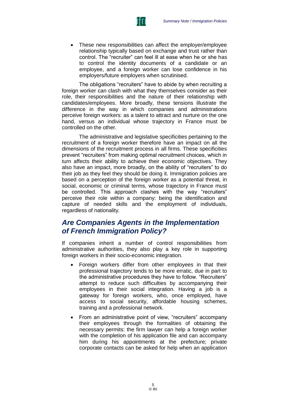

 These new responsibilities can affect the employer/employee relationship typically based on exchange and trust rather than control. The "recruiter" can feel ill at ease when he or she has to control the identity documents of a candidate or an employee, and a foreign worker can lose confidence in his employers/future employers when scrutinised.

The obligations "recruiters" have to abide by when recruiting a foreign worker can clash with what they themselves consider as their role, their responsibilities and the nature of their relationship with candidates/employees. More broadly, these tensions illustrate the difference in the way in which companies and administrations perceive foreign workers: as a talent to attract and nurture on the one hand, versus an individual whose trajectory in France must be controlled on the other.

The administrative and legislative specificities pertaining to the recruitment of a foreign worker therefore have an impact on all the dimensions of the recruitment process in all firms. These specificities prevent "recruiters" from making optimal recruitment choices, which in turn affects their ability to achieve their economic objectives. They also have an impact, more broadly, on the ability of "recruiters" to do their job as they feel they should be doing it. Immigration policies are based on a perception of the foreign worker as a potential threat, in social, economic or criminal terms, whose trajectory in France must be controlled. This approach clashes with the way "recruiters" perceive their role within a company: being the identification and capture of needed skills and the employment of individuals, regardless of nationality.

## *Are Companies Agents in the Implementation of French Immigration Policy?*

If companies inherit a number of control responsibilities from administrative authorities, they also play a key role in supporting foreign workers in their socio-economic integration.

- Foreign workers differ from other employees in that their professional trajectory tends to be more erratic, due in part to the administrative procedures they have to follow. "Recruiters" attempt to reduce such difficulties by accompanying their employees in their social integration. Having a job is a gateway for foreign workers, who, once employed, have access to social security, affordable housing schemes, training and a professional network.
- From an administrative point of view, "recruiters" accompany their employees through the formalities of obtaining the necessary permits: the firm lawyer can help a foreign worker with the completion of his application file and can accompany him during his appointments at the prefecture; private corporate contacts can be asked for help when an application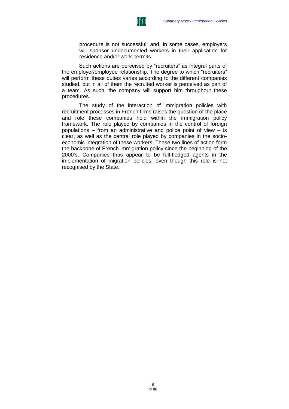

procedure is not successful; and, in some cases, employers will sponsor undocumented workers in their application for residence and/or work permits.

Such actions are perceived by "recruiters" as integral parts of the employer/employee relationship. The degree to which "recruiters" will perform these duties varies according to the different companies studied, but in all of them the recruited worker is perceived as part of a team. As such, the company will support him throughout these procedures.

The study of the interaction of immigration policies with recruitment processes in French firms raises the question of the place and role these companies hold within the immigration policy framework. The role played by companies in the control of foreign populations – from an administrative and police point of view – is clear, as well as the central role played by companies in the socioeconomic integration of these workers. These two lines of action form the backbone of French immigration policy since the beginning of the 2000's. Companies thus appear to be full-fledged agents in the implementation of migration policies, even though this role is not recognised by the State.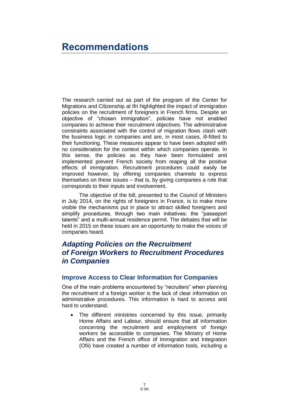# **Recommendations**

The research carried out as part of the program of the Center for Migrations and Citizenship at Ifri highlighted the impact of immigration policies on the recruitment of foreigners in French firms. Despite an objective of "chosen immigration", policies have not enabled companies to achieve their recruitment objectives. The administrative constraints associated with the control of migration flows clash with the business logic in companies and are, in most cases, ill-fitted to their functioning. These measures appear to have been adopted with no consideration for the context within which companies operate. In this sense, the policies as they have been formulated and implemented prevent French society from reaping all the positive effects of immigration. Recruitment procedures could easily be improved however, by offering companies channels to express themselves on these issues – that is, by giving companies a role that corresponds to their inputs and involvement.

The objective of the bill, presented to the Council of Ministers in July 2014, on the rights of foreigners in France, is to make more visible the mechanisms put in place to attract skilled foreigners and simplify procedures, through two main initiatives: the "passeport talents" and a multi-annual residence permit. The debates that will be held in 2015 on these issues are an opportunity to make the voices of companies heard.

# *Adapting Policies on the Recruitment of Foreign Workers to Recruitment Procedures in Companies*

#### **Improve Access to Clear Information for Companies**

One of the main problems encountered by "recruiters" when planning the recruitment of a foreign worker is the lack of clear information on administrative procedures. This information is hard to access and hard to understand.

 The different ministries concerned by this issue, primarily Home Affairs and Labour, should ensure that all information concerning the recruitment and employment of foreign workers be accessible to companies. The Ministry of Home Affairs and the French office of Immigration and Integration (Ofii) have created a number of information tools, including a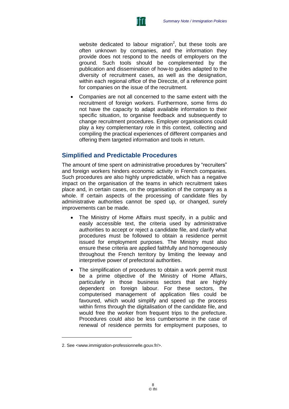

website dedicated to labour migration<sup>2</sup>, but these tools are often unknown by companies, and the information they provide does not respond to the needs of employers on the ground. Such tools should be complemented by the publication and dissemination of how-to guides adapted to the diversity of recruitment cases, as well as the designation, within each regional office of the Direccte, of a reference point for companies on the issue of the recruitment.

 Companies are not all concerned to the same extent with the recruitment of foreign workers. Furthermore, some firms do not have the capacity to adapt available information to their specific situation, to organise feedback and subsequently to change recruitment procedures. Employer organisations could play a key complementary role in this context, collecting and compiling the practical experiences of different companies and offering them targeted information and tools in return.

#### **Simplified and Predictable Procedures**

The amount of time spent on administrative procedures by "recruiters" and foreign workers hinders economic activity in French companies. Such procedures are also highly unpredictable, which has a negative impact on the organisation of the teams in which recruitment takes place and, in certain cases, on the organisation of the company as a whole. If certain aspects of the processing of candidate files by administrative authorities cannot be sped up, or changed, surely improvements can be made.

- The Ministry of Home Affairs must specify, in a public and easily accessible text, the criteria used by administrative authorities to accept or reject a candidate file, and clarify what procedures must be followed to obtain a residence permit issued for employment purposes. The Ministry must also ensure these criteria are applied faithfully and homogeneously throughout the French territory by limiting the leeway and interpretive power of prefectoral authorities.
- The simplification of procedures to obtain a work permit must be a prime objective of the Ministry of Home Affairs, particularly in those business sectors that are highly dependent on foreign labour. For these sectors, the computerised management of application files could be favoured, which would simplify and speed up the process within firms through the digitalisation of the candidate file, and would free the worker from frequent trips to the prefecture. Procedures could also be less cumbersome in the case of renewal of residence permits for employment purposes, to

-

<sup>2.</sup> See [<www.immigration-professionnelle.gouv.fr/>](http://www.immigration-professionnelle.gouv.fr/).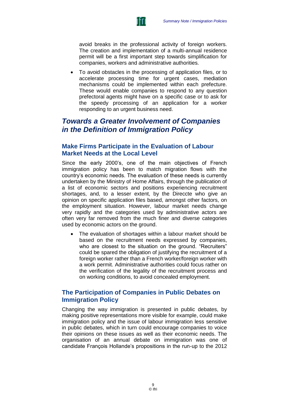

avoid breaks in the professional activity of foreign workers. The creation and implementation of a multi-annual residence permit will be a first important step towards simplification for companies, workers and administrative authorities.

 To avoid obstacles in the processing of application files, or to accelerate processing time for urgent cases, mediation mechanisms could be implemented within each prefecture. These would enable companies to respond to any question prefectoral agents might have on a specific case or to ask for the speedy processing of an application for a worker responding to an urgent business need.

## *Towards a Greater Involvement of Companies in the Definition of Immigration Policy*

#### **Make Firms Participate in the Evaluation of Labour Market Needs at the Local Level**

Since the early 2000's, one of the main objectives of French immigration policy has been to match migration flows with the country's economic needs. The evaluation of these needs is currently undertaken by the Ministry of Home Affairs, through the publication of a list of economic sectors and positions experiencing recruitment shortages, and, to a lesser extent, by the Direccte who give an opinion on specific application files based, amongst other factors, on the employment situation. However, labour market needs change very rapidly and the categories used by administrative actors are often very far removed from the much finer and diverse categories used by economic actors on the ground.

 The evaluation of shortages within a labour market should be based on the recruitment needs expressed by companies, who are closest to the situation on the ground. "Recruiters" could be spared the obligation of justifying the recruitment of a foreign worker rather than a French worker/foreign worker with a work permit. Administrative authorities could focus rather on the verification of the legality of the recruitment process and on working conditions, to avoid concealed employment.

#### **The Participation of Companies in Public Debates on Immigration Policy**

Changing the way immigration is presented in public debates, by making positive representations more visible for example, could make immigration policy and the issue of labour immigration less sensitive in public debates, which in turn could encourage companies to voice their opinions on these issues as well as their economic needs. The organisation of an annual debate on immigration was one of candidate François Hollande's propositions in the run-up to the 2012